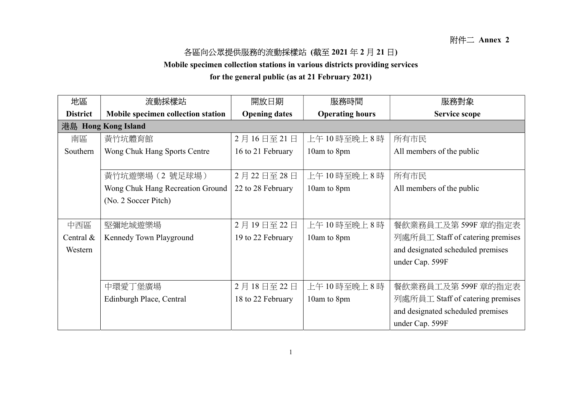## 各區向公眾提供服務的流動採樣站 (截至 2021 年 2 月 21 日)

Mobile specimen collection stations in various districts providing services

for the general public (as at 21 February 2021)

| 地區                  | 流動採樣站                              | 開放日期                 | 服務時間                   | 服務對象                              |  |  |
|---------------------|------------------------------------|----------------------|------------------------|-----------------------------------|--|--|
| <b>District</b>     | Mobile specimen collection station | <b>Opening dates</b> | <b>Operating hours</b> | Service scope                     |  |  |
| 港島 Hong Kong Island |                                    |                      |                        |                                   |  |  |
| 南區                  | 黃竹坑體育館                             | 2月16日至21日            | 上午10時至晚上8時             | 所有市民                              |  |  |
| Southern            | Wong Chuk Hang Sports Centre       | 16 to 21 February    | 10am to 8pm            | All members of the public         |  |  |
|                     |                                    |                      |                        |                                   |  |  |
|                     | 黃竹坑遊樂場 (2 號足球場)                    | 2月22日至28日            | 上午10時至晚上8時             | 所有市民                              |  |  |
|                     | Wong Chuk Hang Recreation Ground   | 22 to 28 February    | 10am to 8pm            | All members of the public         |  |  |
|                     | (No. 2 Soccer Pitch)               |                      |                        |                                   |  |  |
|                     |                                    |                      |                        |                                   |  |  |
| 中西區                 | 堅彌地城遊樂場                            | 2月19日至22日            | 上午10時至晚上8時             | 餐飲業務員工及第599F 章的指定表                |  |  |
| Central $&$         | Kennedy Town Playground            | 19 to 22 February    | 10am to 8pm            | 列處所員工 Staff of catering premises  |  |  |
| Western             |                                    |                      |                        | and designated scheduled premises |  |  |
|                     |                                    |                      |                        | under Cap. 599F                   |  |  |
|                     |                                    |                      |                        |                                   |  |  |
|                     | 中環愛丁堡廣場                            | 2月18日至22日            | 上午10時至晚上8時             | 餐飲業務員工及第 599F 章的指定表               |  |  |
|                     | Edinburgh Place, Central           | 18 to 22 February    | 10am to 8pm            | 列處所員工 Staff of catering premises  |  |  |
|                     |                                    |                      |                        | and designated scheduled premises |  |  |
|                     |                                    |                      |                        | under Cap. 599F                   |  |  |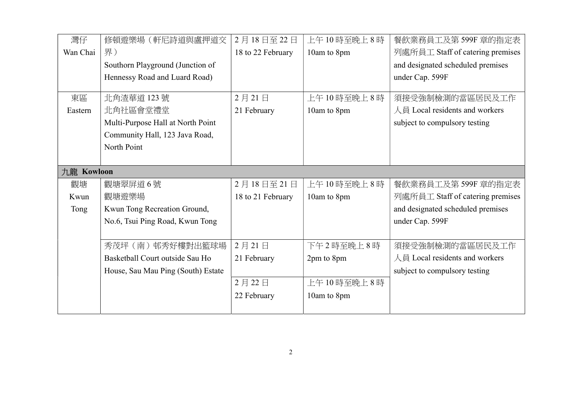| 灣仔         | 修頓遊樂場(軒尼詩道與盧押道交                    | 2月18日至22日         | 上午10時至晚上8時  | 餐飲業務員工及第599F 章的指定表                |
|------------|------------------------------------|-------------------|-------------|-----------------------------------|
| Wan Chai   | 界)                                 | 18 to 22 February | 10am to 8pm | 列處所員工 Staff of catering premises  |
|            | Southorn Playground (Junction of   |                   |             | and designated scheduled premises |
|            | Hennessy Road and Luard Road)      |                   |             | under Cap. 599F                   |
|            |                                    |                   |             |                                   |
| 東區         | 北角渣華道 123號                         | 2月21日             | 上午10時至晚上8時  | 須接受強制檢測的當區居民及工作                   |
| Eastern    | 北角社區會堂禮堂                           | 21 February       | 10am to 8pm | 人員 Local residents and workers    |
|            | Multi-Purpose Hall at North Point  |                   |             | subject to compulsory testing     |
|            | Community Hall, 123 Java Road,     |                   |             |                                   |
|            | North Point                        |                   |             |                                   |
|            |                                    |                   |             |                                   |
| 九龍 Kowloon |                                    |                   |             |                                   |
| 觀塘         | 觀塘翠屏道6號                            | 2月18日至21日         | 上午10時至晚上8時  | 餐飲業務員工及第599F 章的指定表                |
| Kwun       | 觀塘遊樂場                              | 18 to 21 February | 10am to 8pm | 列處所員工 Staff of catering premises  |
| Tong       | Kwun Tong Recreation Ground,       |                   |             | and designated scheduled premises |
|            | No.6, Tsui Ping Road, Kwun Tong    |                   |             | under Cap. 599F                   |
|            |                                    |                   |             |                                   |
|            | 秀茂坪(南)邨秀好樓對出籃球場                    | 2月21日             | 下午2時至晚上8時   | 須接受強制檢測的當區居民及工作                   |
|            | Basketball Court outside Sau Ho    | 21 February       | 2pm to 8pm  | 人員 Local residents and workers    |
|            | House, Sau Mau Ping (South) Estate |                   |             | subject to compulsory testing     |
|            |                                    | 2月22日             | 上午10時至晚上8時  |                                   |
|            |                                    | 22 February       | 10am to 8pm |                                   |
|            |                                    |                   |             |                                   |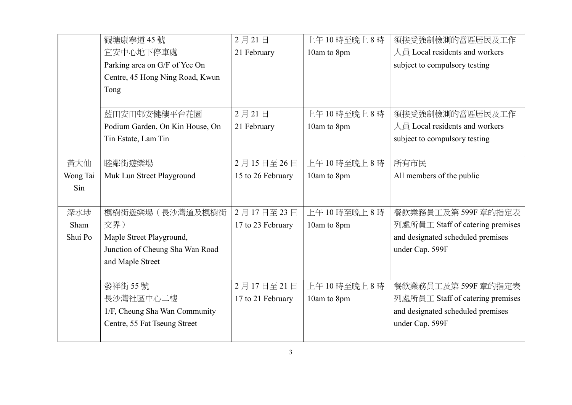|          | 觀塘康寧道 45號                       | 2月21日             | 上午10時至晚上8時  | 須接受強制檢測的當區居民及工作                   |
|----------|---------------------------------|-------------------|-------------|-----------------------------------|
|          | 宜安中心地下停車處                       | 21 February       | 10am to 8pm | 人員 Local residents and workers    |
|          | Parking area on G/F of Yee On   |                   |             | subject to compulsory testing     |
|          | Centre, 45 Hong Ning Road, Kwun |                   |             |                                   |
|          | Tong                            |                   |             |                                   |
|          |                                 |                   |             |                                   |
|          | 藍田安田邨安健樓平台花園                    | 2月21日             | 上午10時至晚上8時  | 須接受強制檢測的當區居民及工作                   |
|          | Podium Garden, On Kin House, On | 21 February       | 10am to 8pm | 人員 Local residents and workers    |
|          | Tin Estate, Lam Tin             |                   |             | subject to compulsory testing     |
|          |                                 |                   |             |                                   |
| 黃大仙      | 睦鄰街遊樂場                          | 2月15日至26日         | 上午10時至晚上8時  | 所有市民                              |
| Wong Tai | Muk Lun Street Playground       | 15 to 26 February | 10am to 8pm | All members of the public         |
| Sin      |                                 |                   |             |                                   |
|          |                                 |                   |             |                                   |
| 深水埗      | 楓樹街遊樂場(長沙灣道及楓樹街                 | 2月17日至23日         | 上午10時至晚上8時  | 餐飲業務員工及第599F 章的指定表                |
| Sham     | 交界)                             | 17 to 23 February | 10am to 8pm | 列處所員工 Staff of catering premises  |
| Shui Po  | Maple Street Playground,        |                   |             | and designated scheduled premises |
|          | Junction of Cheung Sha Wan Road |                   |             | under Cap. 599F                   |
|          | and Maple Street                |                   |             |                                   |
|          |                                 |                   |             |                                   |
|          | 發祥街 55號                         | 2月17日至21日         | 上午10時至晚上8時  | 餐飲業務員工及第599F 章的指定表                |
|          | 長沙灣社區中心二樓                       | 17 to 21 February | 10am to 8pm | 列處所員工 Staff of catering premises  |
|          | 1/F, Cheung Sha Wan Community   |                   |             | and designated scheduled premises |
|          | Centre, 55 Fat Tseung Street    |                   |             | under Cap. 599F                   |
|          |                                 |                   |             |                                   |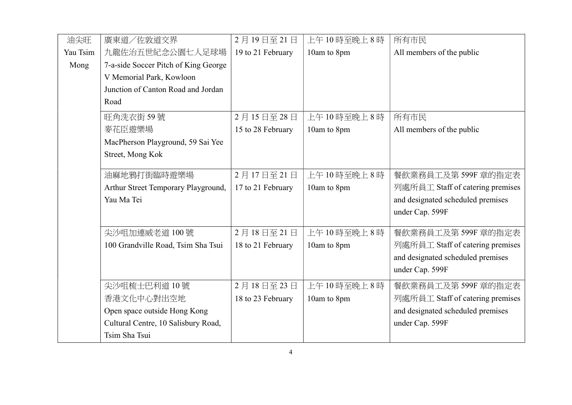| 油尖旺      | 廣東道/佐敦道交界                            | 2月19日至21日         | 上午10時至晚上8時  | 所有市民                              |
|----------|--------------------------------------|-------------------|-------------|-----------------------------------|
| Yau Tsim | 九龍佐治五世紀念公園七人足球場                      | 19 to 21 February | 10am to 8pm | All members of the public         |
| Mong     | 7-a-side Soccer Pitch of King George |                   |             |                                   |
|          | V Memorial Park, Kowloon             |                   |             |                                   |
|          | Junction of Canton Road and Jordan   |                   |             |                                   |
|          | Road                                 |                   |             |                                   |
|          | 旺角洗衣街 59號                            | 2月15日至28日         | 上午10時至晚上8時  | 所有市民                              |
|          | 麥花臣遊樂場                               | 15 to 28 February | 10am to 8pm | All members of the public         |
|          | MacPherson Playground, 59 Sai Yee    |                   |             |                                   |
|          | Street, Mong Kok                     |                   |             |                                   |
|          | 油麻地鴉打街臨時遊樂場                          | 2月17日至21日         | 上午10時至晚上8時  | 餐飲業務員工及第599F 章的指定表                |
|          | Arthur Street Temporary Playground,  | 17 to 21 February | 10am to 8pm | 列處所員工 Staff of catering premises  |
|          | Yau Ma Tei                           |                   |             | and designated scheduled premises |
|          |                                      |                   |             | under Cap. 599F                   |
|          | 尖沙咀加連威老道 100號                        | 2月18日至21日         | 上午10時至晚上8時  | 餐飲業務員工及第599F 章的指定表                |
|          | 100 Grandville Road, Tsim Sha Tsui   | 18 to 21 February | 10am to 8pm | 列處所員工 Staff of catering premises  |
|          |                                      |                   |             | and designated scheduled premises |
|          |                                      |                   |             | under Cap. 599F                   |
|          | 尖沙咀梳士巴利道10號                          | 2月18日至23日         | 上午10時至晚上8時  | 餐飲業務員工及第599F 章的指定表                |
|          | 香港文化中心對出空地                           | 18 to 23 February | 10am to 8pm | 列處所員工 Staff of catering premises  |
|          | Open space outside Hong Kong         |                   |             | and designated scheduled premises |
|          | Cultural Centre, 10 Salisbury Road,  |                   |             | under Cap. 599F                   |
|          | Tsim Sha Tsui                        |                   |             |                                   |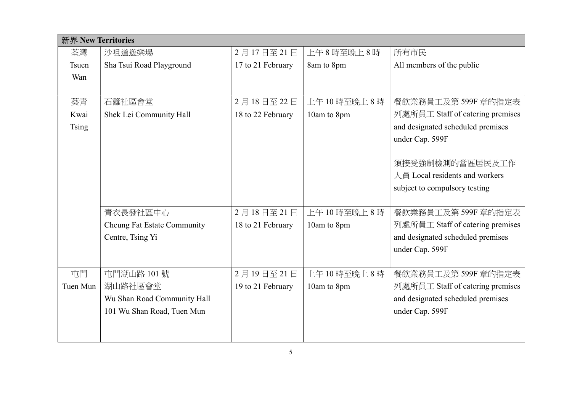| 新界 New Territories |                                    |                   |             |                                   |  |
|--------------------|------------------------------------|-------------------|-------------|-----------------------------------|--|
| 荃灣                 | 沙咀道遊樂場                             | 2月17日至21日         | 上午8時至晚上8時   | 所有市民                              |  |
| <b>Tsuen</b>       | Sha Tsui Road Playground           | 17 to 21 February | 8am to 8pm  | All members of the public         |  |
| Wan                |                                    |                   |             |                                   |  |
|                    |                                    |                   |             |                                   |  |
| 葵青                 | 石籬社區會堂                             | 2月18日至22日         | 上午10時至晚上8時  | 餐飲業務員工及第599F 章的指定表                |  |
| Kwai               | Shek Lei Community Hall            | 18 to 22 February | 10am to 8pm | 列處所員工 Staff of catering premises  |  |
| <b>Tsing</b>       |                                    |                   |             | and designated scheduled premises |  |
|                    |                                    |                   |             | under Cap. 599F                   |  |
|                    |                                    |                   |             |                                   |  |
|                    |                                    |                   |             | 須接受強制檢測的當區居民及工作                   |  |
|                    |                                    |                   |             | 人員 Local residents and workers    |  |
|                    |                                    |                   |             | subject to compulsory testing     |  |
|                    |                                    |                   |             |                                   |  |
|                    | 青衣長發社區中心                           | 2月18日至21日         | 上午10時至晚上8時  | 餐飲業務員工及第599F 章的指定表                |  |
|                    | <b>Cheung Fat Estate Community</b> | 18 to 21 February | 10am to 8pm | 列處所員工 Staff of catering premises  |  |
|                    | Centre, Tsing Yi                   |                   |             | and designated scheduled premises |  |
|                    |                                    |                   |             | under Cap. 599F                   |  |
|                    |                                    |                   |             |                                   |  |
| 屯門                 | 屯門湖山路 101號                         | 2月19日至21日         | 上午10時至晚上8時  | 餐飲業務員工及第599F 章的指定表                |  |
| Tuen Mun           | 湖山路社區會堂                            | 19 to 21 February | 10am to 8pm | 列處所員工 Staff of catering premises  |  |
|                    | Wu Shan Road Community Hall        |                   |             | and designated scheduled premises |  |
|                    | 101 Wu Shan Road, Tuen Mun         |                   |             | under Cap. 599F                   |  |
|                    |                                    |                   |             |                                   |  |
|                    |                                    |                   |             |                                   |  |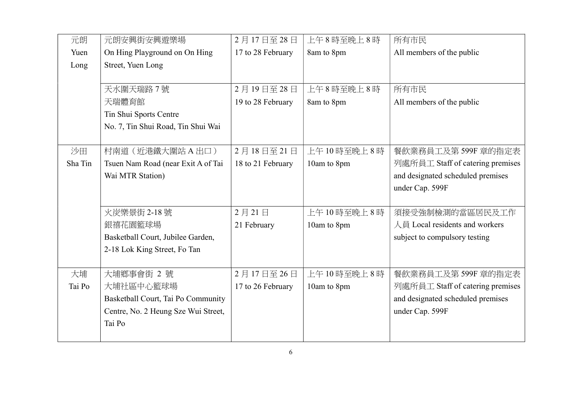| 元朗      | 元朗安興街安興遊樂場                          | 2月17日至28日         | 上午8時至晚上8時      | 所有市民                              |
|---------|-------------------------------------|-------------------|----------------|-----------------------------------|
| Yuen    | On Hing Playground on On Hing       | 17 to 28 February | 8am to 8pm     | All members of the public         |
| Long    | Street, Yuen Long                   |                   |                |                                   |
|         |                                     |                   |                |                                   |
|         | 天水圍天瑞路7號                            | 2月19日至28日         | 上午8時至晚上8時      | 所有市民                              |
|         | 天瑞體育館                               | 19 to 28 February | 8am to 8pm     | All members of the public         |
|         | Tin Shui Sports Centre              |                   |                |                                   |
|         | No. 7, Tin Shui Road, Tin Shui Wai  |                   |                |                                   |
|         |                                     |                   |                |                                   |
| 沙田      | 村南道 (近港鐵大圍站 A 出口)                   | 2月18日至21日         | 上午10時至晚上8時     | 餐飲業務員工及第599F 章的指定表                |
| Sha Tin | Tsuen Nam Road (near Exit A of Tai  | 18 to 21 February | 10am to 8pm    | 列處所員工 Staff of catering premises  |
|         | Wai MTR Station)                    |                   |                | and designated scheduled premises |
|         |                                     |                   |                | under Cap. 599F                   |
|         |                                     |                   |                |                                   |
|         | 火炭樂景街 2-18號                         | 2月21日             | 上午 10 時至晚上 8 時 | 須接受強制檢測的當區居民及工作                   |
|         | 銀禧花園籃球場                             | 21 February       | 10am to 8pm    | 人員 Local residents and workers    |
|         | Basketball Court, Jubilee Garden,   |                   |                | subject to compulsory testing     |
|         | 2-18 Lok King Street, Fo Tan        |                   |                |                                   |
|         |                                     |                   |                |                                   |
| 大埔      | 大埔鄉事會街 2號                           | 2月17日至26日         | 上午10時至晚上8時     | 餐飲業務員工及第 599F 章的指定表               |
| Tai Po  | 大埔社區中心籃球場                           | 17 to 26 February | 10am to 8pm    | 列處所員工 Staff of catering premises  |
|         | Basketball Court, Tai Po Community  |                   |                | and designated scheduled premises |
|         | Centre, No. 2 Heung Sze Wui Street, |                   |                | under Cap. 599F                   |
|         | Tai Po                              |                   |                |                                   |
|         |                                     |                   |                |                                   |